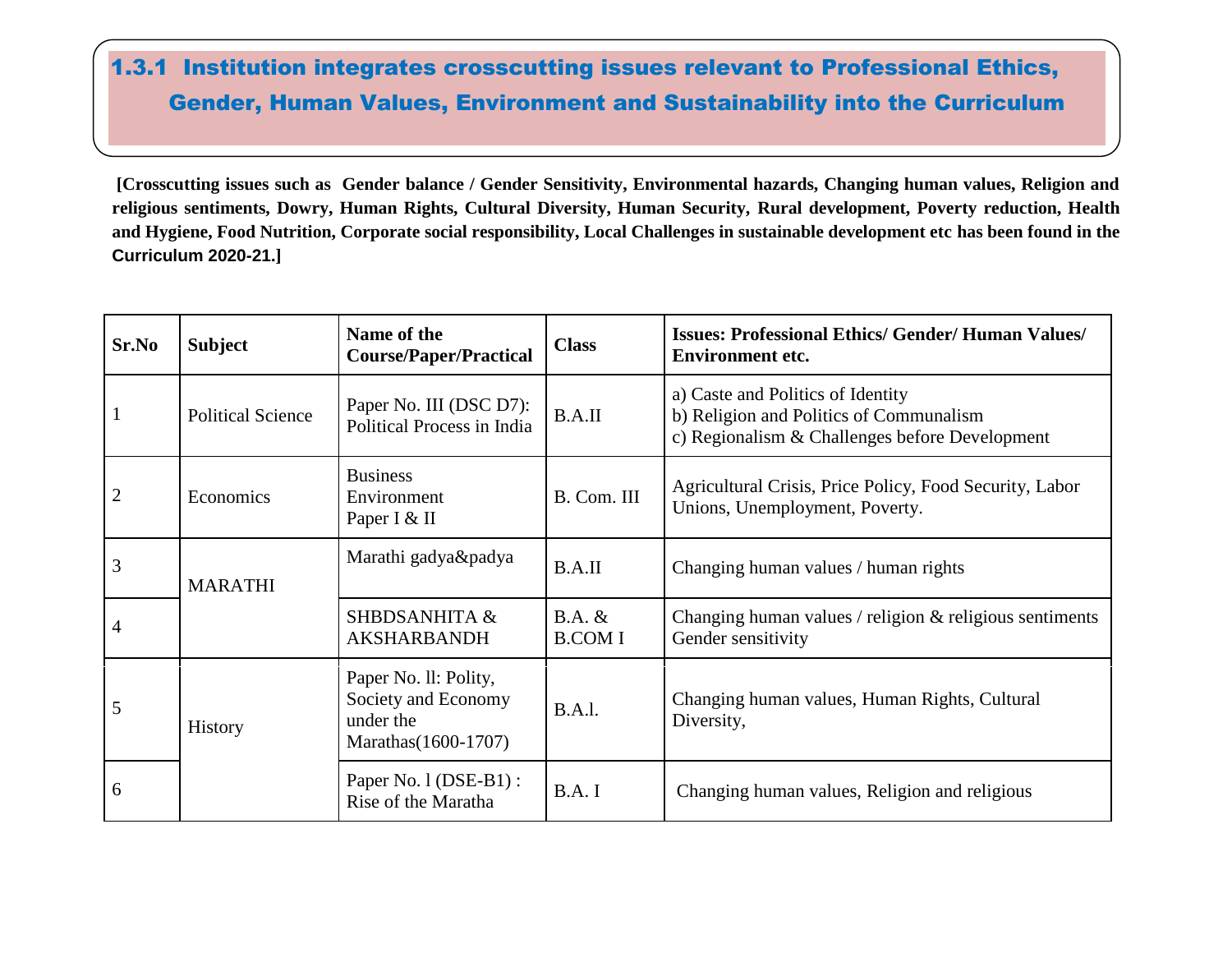## 1.3.1 Institution integrates crosscutting issues relevant to Professional Ethics, Gender, Human Values, Environment and Sustainability into the Curriculum

**[Crosscutting issues such as Gender balance / Gender Sensitivity, Environmental hazards, Changing human values, Religion and religious sentiments, Dowry, Human Rights, Cultural Diversity, Human Security, Rural development, Poverty reduction, Health and Hygiene, Food Nutrition, Corporate social responsibility, Local Challenges in sustainable development etc has been found in the Curriculum 2020-21.]**

| Sr.No          | <b>Subject</b>           | Name of the<br><b>Course/Paper/Practical</b>                                      | <b>Class</b>              | <b>Issues: Professional Ethics/ Gender/ Human Values/</b><br><b>Environment etc.</b>                                           |
|----------------|--------------------------|-----------------------------------------------------------------------------------|---------------------------|--------------------------------------------------------------------------------------------------------------------------------|
| $\mathbf{1}$   | <b>Political Science</b> | Paper No. III (DSC D7):<br>Political Process in India                             | B.A.II                    | a) Caste and Politics of Identity<br>b) Religion and Politics of Communalism<br>c) Regionalism & Challenges before Development |
| $\overline{2}$ | Economics                | <b>Business</b><br>Environment<br>Paper I & II                                    | B. Com. III               | Agricultural Crisis, Price Policy, Food Security, Labor<br>Unions, Unemployment, Poverty.                                      |
| $\overline{3}$ | <b>MARATHI</b>           | Marathi gadya&padya                                                               | B.A.II                    | Changing human values / human rights                                                                                           |
| $\overline{4}$ |                          | <b>SHBDSANHITA &amp;</b><br><b>AKSHARBANDH</b>                                    | $B.A.$ &<br><b>B.COMI</b> | Changing human values / religion & religious sentiments<br>Gender sensitivity                                                  |
| 5              | <b>History</b>           | Paper No. II: Polity,<br>Society and Economy<br>under the<br>Marathas (1600-1707) | B.A.l.                    | Changing human values, Human Rights, Cultural<br>Diversity,                                                                    |
| 6              |                          | Paper No. 1 (DSE-B1) :<br>Rise of the Maratha                                     | B.A.I                     | Changing human values, Religion and religious                                                                                  |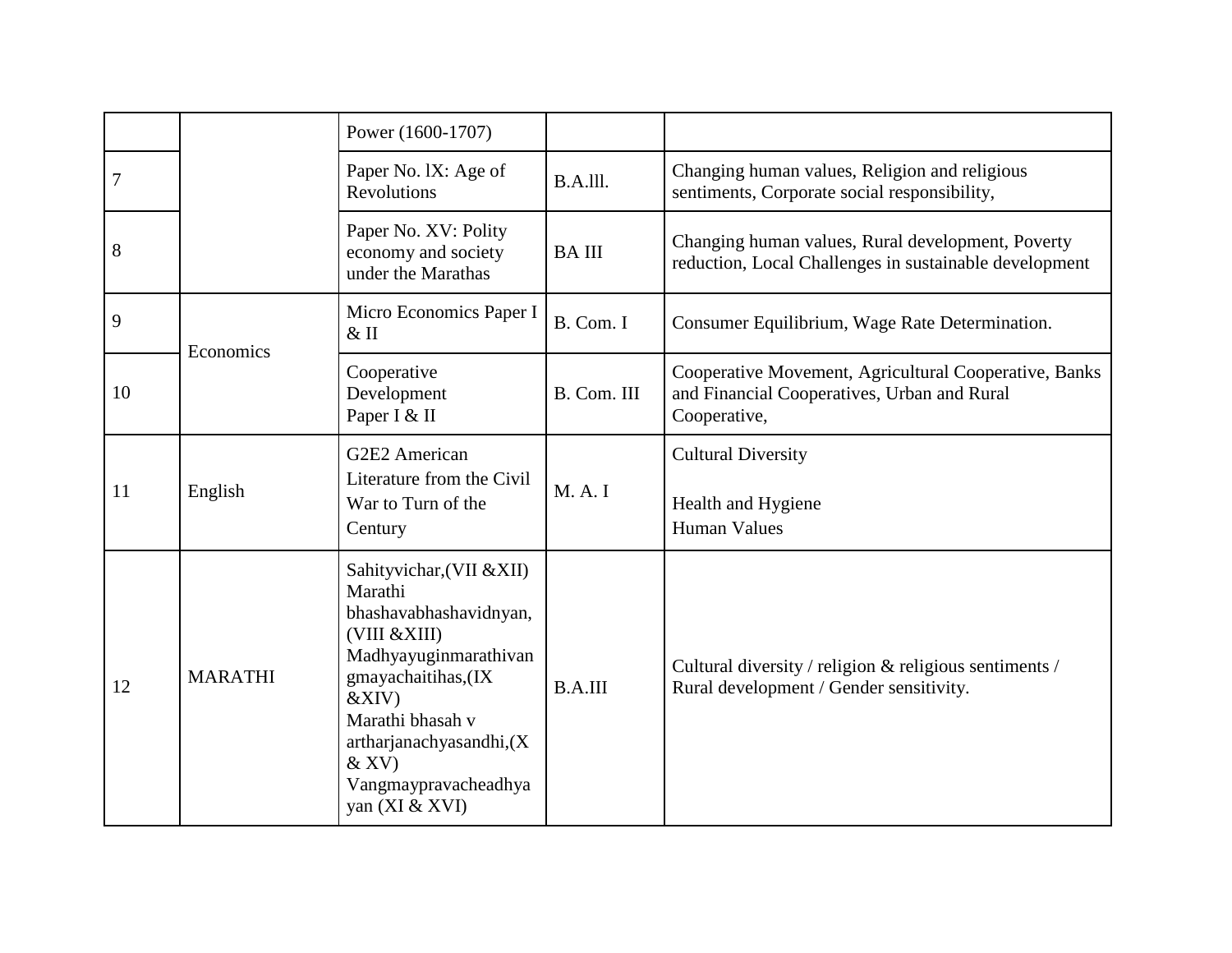|    |                | Power (1600-1707)                                                                                                                                                                                                                            |                |                                                                                                                      |
|----|----------------|----------------------------------------------------------------------------------------------------------------------------------------------------------------------------------------------------------------------------------------------|----------------|----------------------------------------------------------------------------------------------------------------------|
| 7  |                | Paper No. IX: Age of<br><b>Revolutions</b>                                                                                                                                                                                                   | $B.A.$ III.    | Changing human values, Religion and religious<br>sentiments, Corporate social responsibility,                        |
| 8  |                | Paper No. XV: Polity<br>economy and society<br>under the Marathas                                                                                                                                                                            | <b>BAIII</b>   | Changing human values, Rural development, Poverty<br>reduction, Local Challenges in sustainable development          |
| 9  | Economics      | Micro Economics Paper I<br>$&$ II                                                                                                                                                                                                            | B. Com. I      | Consumer Equilibrium, Wage Rate Determination.                                                                       |
| 10 |                | Cooperative<br>Development<br>Paper I & II                                                                                                                                                                                                   | B. Com. III    | Cooperative Movement, Agricultural Cooperative, Banks<br>and Financial Cooperatives, Urban and Rural<br>Cooperative, |
| 11 | English        | G2E2 American<br>Literature from the Civil<br>War to Turn of the<br>Century                                                                                                                                                                  | M. A. I        | <b>Cultural Diversity</b><br>Health and Hygiene<br><b>Human Values</b>                                               |
| 12 | <b>MARATHI</b> | Sahityvichar, (VII & XII)<br>Marathi<br>bhashavabhashavidnyan,<br>(VIII &XIII)<br>Madhyayuginmarathivan<br>gmayachaitihas, (IX<br>&XIV)<br>Marathi bhasah v<br>artharjanachyasandhi, (X<br>$&$ XV)<br>Vangmaypravacheadhya<br>yan (XI & XVI) | <b>B.A.III</b> | Cultural diversity / religion & religious sentiments /<br>Rural development / Gender sensitivity.                    |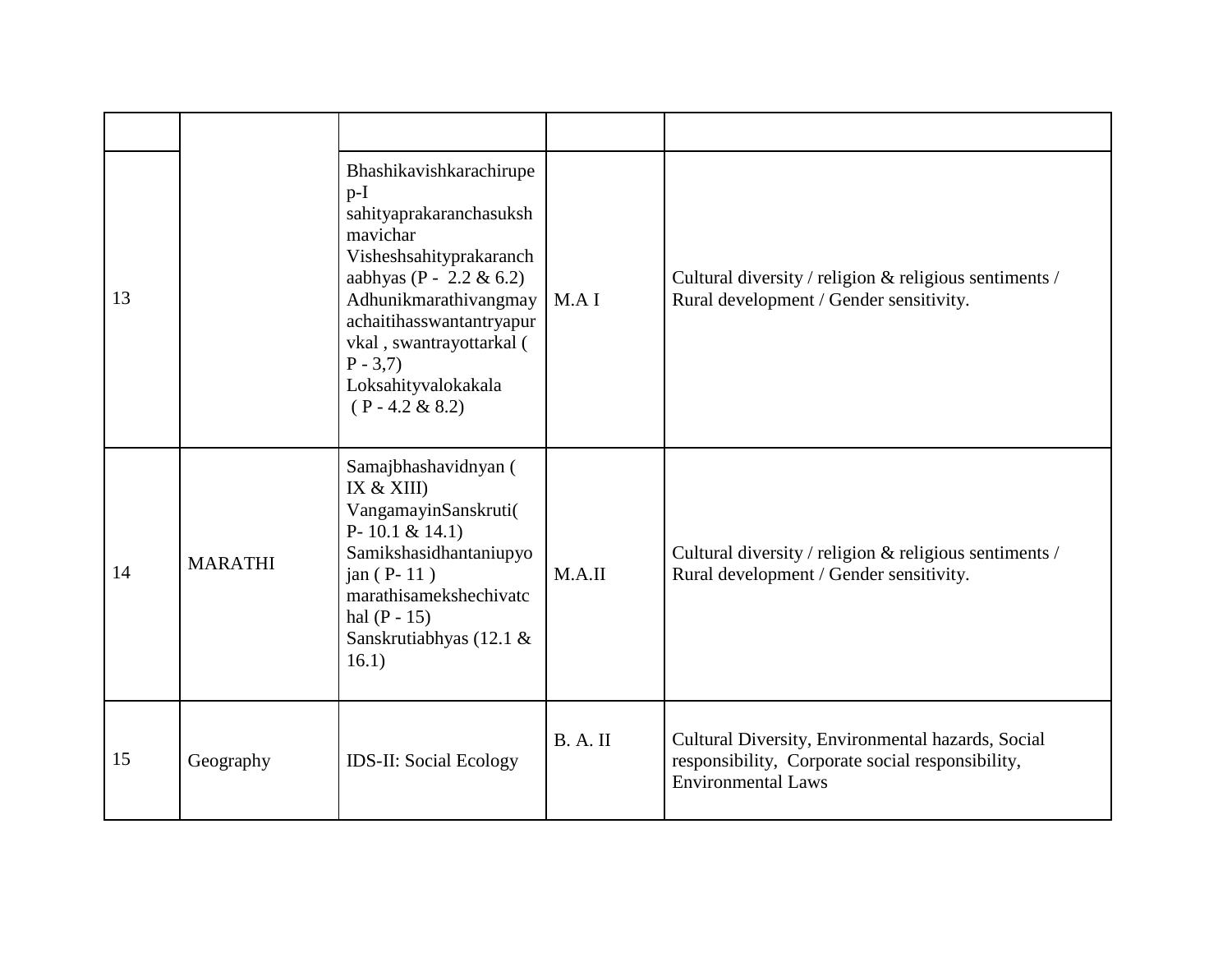| 13 |                | Bhashikavishkarachirupe<br>$p-I$<br>sahityaprakaranchasuksh<br>mavichar<br>Visheshsahityprakaranch<br>aabhyas (P - 2.2 & 6.2)<br>Adhunikmarathivangmay<br>achaitihasswantantryapur<br>vkal, swantrayottarkal (<br>$P - 3,7$<br>Loksahityvalokakala<br>$(P - 4.2 \& 8.2)$ | MAI      | Cultural diversity / religion & religious sentiments /<br>Rural development / Gender sensitivity.                                  |
|----|----------------|--------------------------------------------------------------------------------------------------------------------------------------------------------------------------------------------------------------------------------------------------------------------------|----------|------------------------------------------------------------------------------------------------------------------------------------|
| 14 | <b>MARATHI</b> | Samajbhashavidnyan (<br>IX $&$ XIII)<br>VangamayinSanskruti(<br>P-10.1 & 14.1)<br>Samikshasidhantaniupyo<br>jan $(P-11)$<br>marathisamekshechivatc<br>hal $(P - 15)$<br>Sanskrutiabhyas (12.1 &<br>16.1)                                                                 | M.A.II   | Cultural diversity / religion & religious sentiments /<br>Rural development / Gender sensitivity.                                  |
| 15 | Geography      | <b>IDS-II: Social Ecology</b>                                                                                                                                                                                                                                            | B. A. II | Cultural Diversity, Environmental hazards, Social<br>responsibility, Corporate social responsibility,<br><b>Environmental Laws</b> |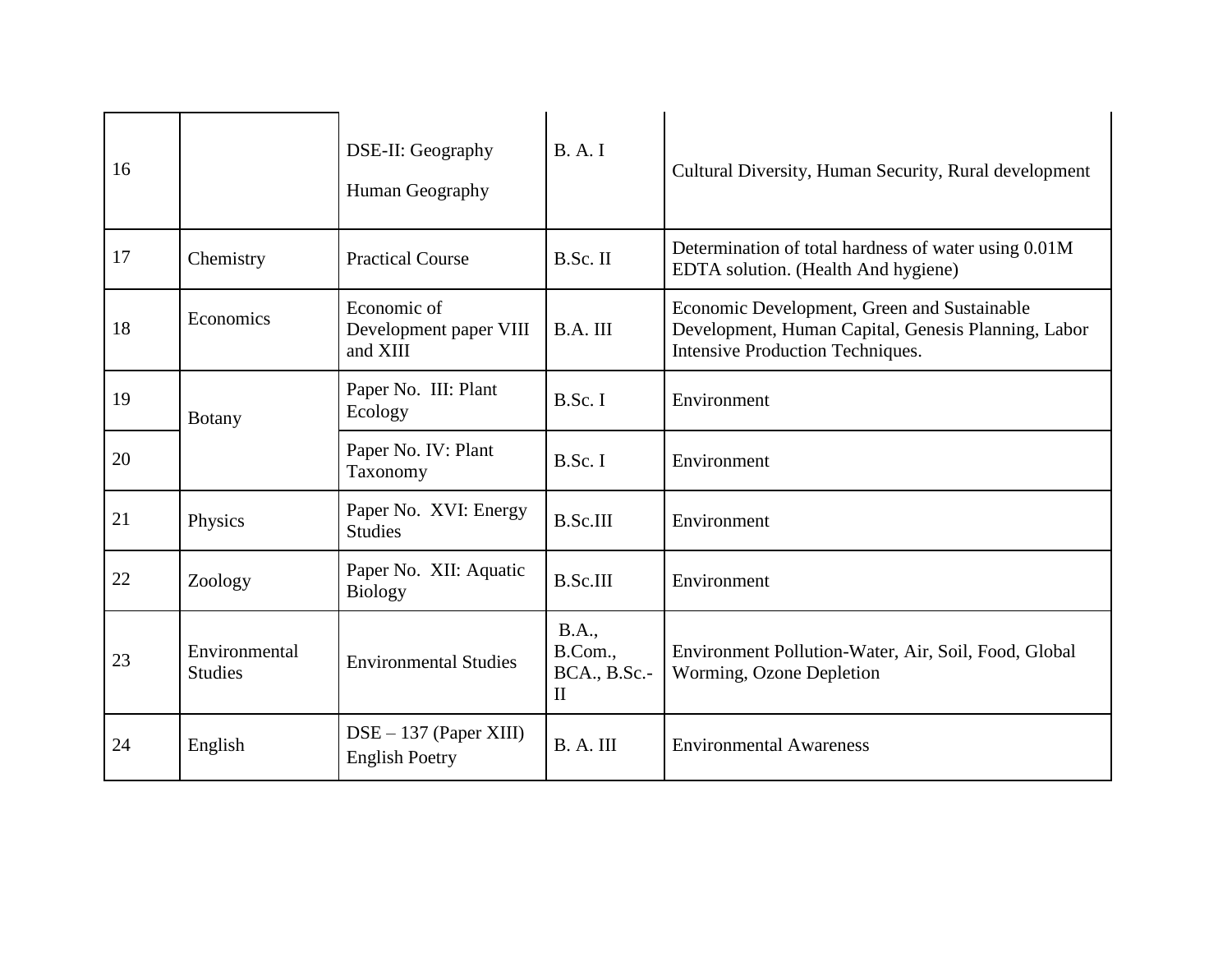| 16 |                                 | DSE-II: Geography<br>Human Geography              | B. A. I                                                        | Cultural Diversity, Human Security, Rural development                                                                                         |
|----|---------------------------------|---------------------------------------------------|----------------------------------------------------------------|-----------------------------------------------------------------------------------------------------------------------------------------------|
| 17 | Chemistry                       | <b>Practical Course</b>                           | B.Sc. II                                                       | Determination of total hardness of water using 0.01M<br>EDTA solution. (Health And hygiene)                                                   |
| 18 | Economics                       | Economic of<br>Development paper VIII<br>and XIII | B.A. III                                                       | Economic Development, Green and Sustainable<br>Development, Human Capital, Genesis Planning, Labor<br><b>Intensive Production Techniques.</b> |
| 19 | <b>Botany</b>                   | Paper No. III: Plant<br>Ecology                   | B.Sc. I                                                        | Environment                                                                                                                                   |
| 20 |                                 | Paper No. IV: Plant<br>Taxonomy                   | B.Sc. I                                                        | Environment                                                                                                                                   |
| 21 | Physics                         | Paper No. XVI: Energy<br><b>Studies</b>           | <b>B.Sc.III</b>                                                | Environment                                                                                                                                   |
| 22 | Zoology                         | Paper No. XII: Aquatic<br><b>Biology</b>          | <b>B.Sc.III</b>                                                | Environment                                                                                                                                   |
| 23 | Environmental<br><b>Studies</b> | <b>Environmental Studies</b>                      | <b>B.A.,</b><br>B.Com.,<br><b>BCA., B.Sc.-</b><br>$\mathbf{I}$ | Environment Pollution-Water, Air, Soil, Food, Global<br>Worming, Ozone Depletion                                                              |
| 24 | English                         | $DSE - 137$ (Paper XIII)<br><b>English Poetry</b> | B. A. III                                                      | <b>Environmental Awareness</b>                                                                                                                |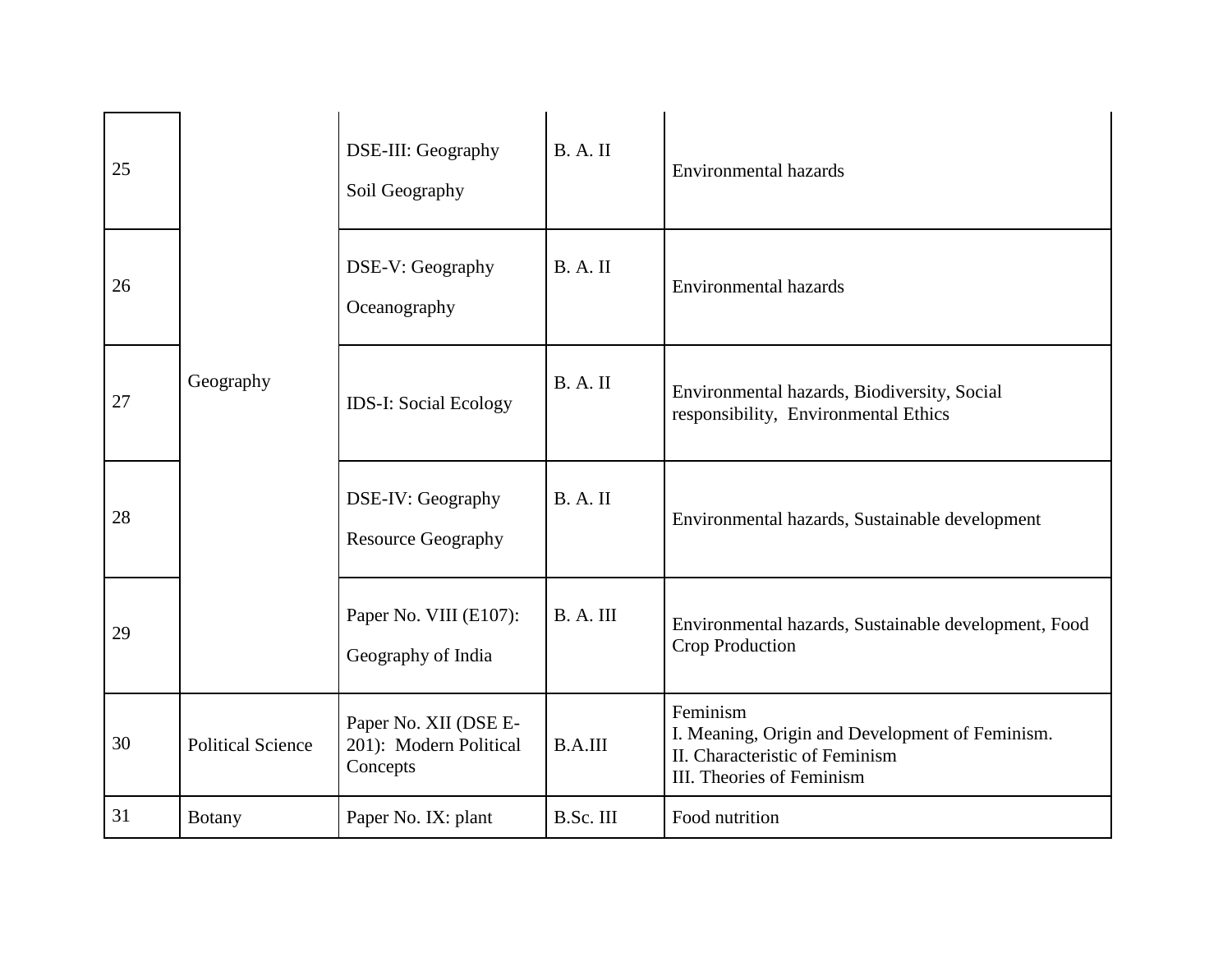| 25 |                          | DSE-III: Geography<br>Soil Geography                        | B. A. II       | <b>Environmental hazards</b>                                                                                               |
|----|--------------------------|-------------------------------------------------------------|----------------|----------------------------------------------------------------------------------------------------------------------------|
| 26 |                          | DSE-V: Geography<br>Oceanography                            | B. A. II       | <b>Environmental hazards</b>                                                                                               |
| 27 | Geography                | <b>IDS-I: Social Ecology</b>                                | <b>B.A.II</b>  | Environmental hazards, Biodiversity, Social<br>responsibility, Environmental Ethics                                        |
| 28 |                          | DSE-IV: Geography<br><b>Resource Geography</b>              | B. A. II       | Environmental hazards, Sustainable development                                                                             |
| 29 |                          | Paper No. VIII (E107):<br>Geography of India                | B. A. III      | Environmental hazards, Sustainable development, Food<br>Crop Production                                                    |
| 30 | <b>Political Science</b> | Paper No. XII (DSE E-<br>201): Modern Political<br>Concepts | <b>B.A.III</b> | Feminism<br>I. Meaning, Origin and Development of Feminism.<br>II. Characteristic of Feminism<br>III. Theories of Feminism |
| 31 | Botany                   | Paper No. IX: plant                                         | B.Sc. III      | Food nutrition                                                                                                             |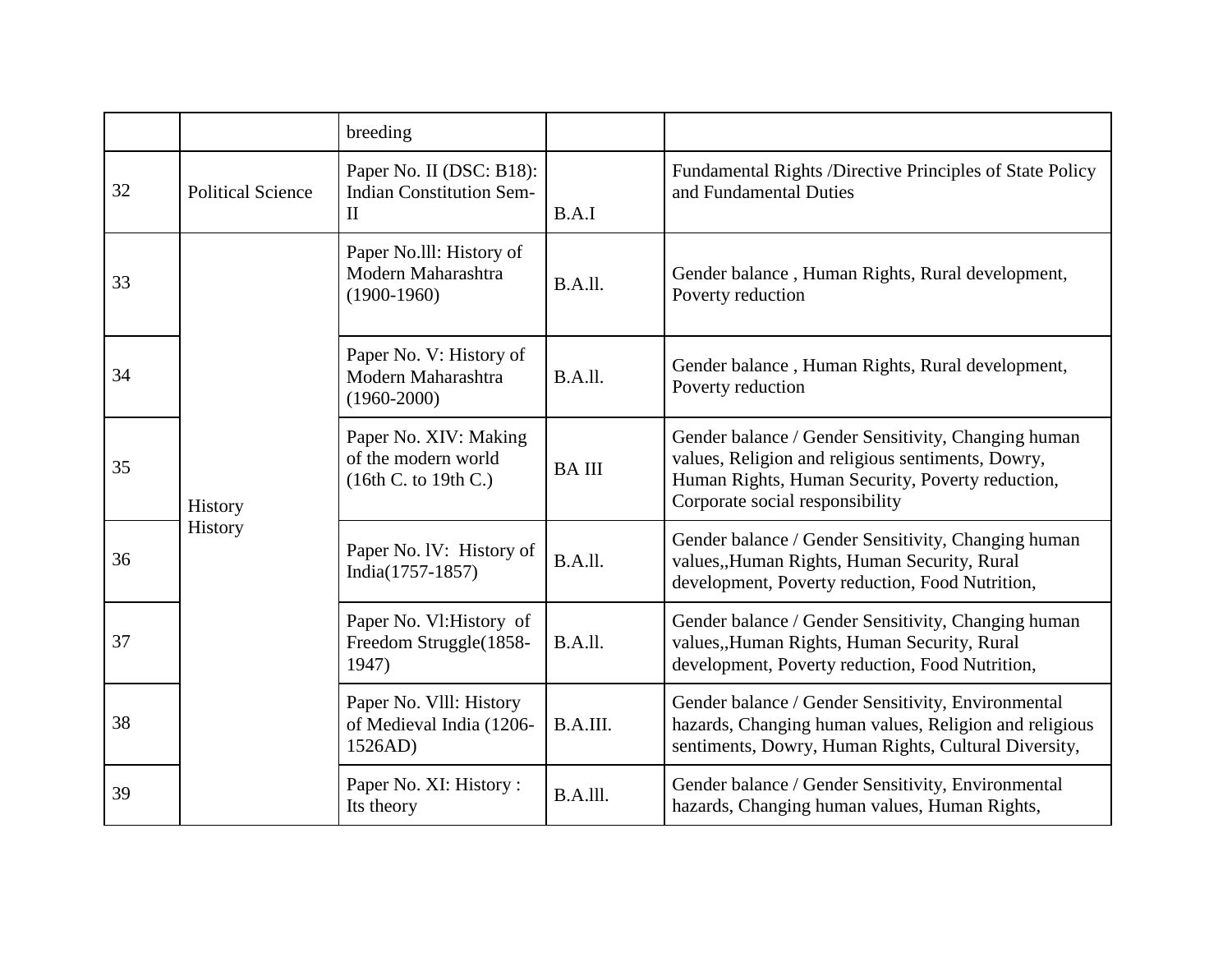|    |                          | breeding                                                                    |                |                                                                                                                                                                                                 |
|----|--------------------------|-----------------------------------------------------------------------------|----------------|-------------------------------------------------------------------------------------------------------------------------------------------------------------------------------------------------|
| 32 | <b>Political Science</b> | Paper No. II (DSC: B18):<br><b>Indian Constitution Sem-</b><br>$\mathbf{I}$ | B.A.I          | Fundamental Rights /Directive Principles of State Policy<br>and Fundamental Duties                                                                                                              |
| 33 | History<br>History       | Paper No. Ill: History of<br>Modern Maharashtra<br>$(1900-1960)$            | B.A.ll.        | Gender balance, Human Rights, Rural development,<br>Poverty reduction                                                                                                                           |
| 34 |                          | Paper No. V: History of<br>Modern Maharashtra<br>$(1960 - 2000)$            | B.A.ll.        | Gender balance, Human Rights, Rural development,<br>Poverty reduction                                                                                                                           |
| 35 |                          | Paper No. XIV: Making<br>of the modern world<br>(16th C. to 19th C.)        | <b>BAIII</b>   | Gender balance / Gender Sensitivity, Changing human<br>values, Religion and religious sentiments, Dowry,<br>Human Rights, Human Security, Poverty reduction,<br>Corporate social responsibility |
| 36 |                          | Paper No. IV: History of<br>India(1757-1857)                                | B.A.ll.        | Gender balance / Gender Sensitivity, Changing human<br>values, Human Rights, Human Security, Rural<br>development, Poverty reduction, Food Nutrition,                                           |
| 37 |                          | Paper No. Vl: History of<br>Freedom Struggle(1858-<br>1947)                 | <b>B.A.II.</b> | Gender balance / Gender Sensitivity, Changing human<br>values, Human Rights, Human Security, Rural<br>development, Poverty reduction, Food Nutrition,                                           |
| 38 |                          | Paper No. VIII: History<br>of Medieval India (1206-<br>1526AD)              | B.A.III.       | Gender balance / Gender Sensitivity, Environmental<br>hazards, Changing human values, Religion and religious<br>sentiments, Dowry, Human Rights, Cultural Diversity,                            |
| 39 |                          | Paper No. XI: History:<br>Its theory                                        | B.A.III.       | Gender balance / Gender Sensitivity, Environmental<br>hazards, Changing human values, Human Rights,                                                                                             |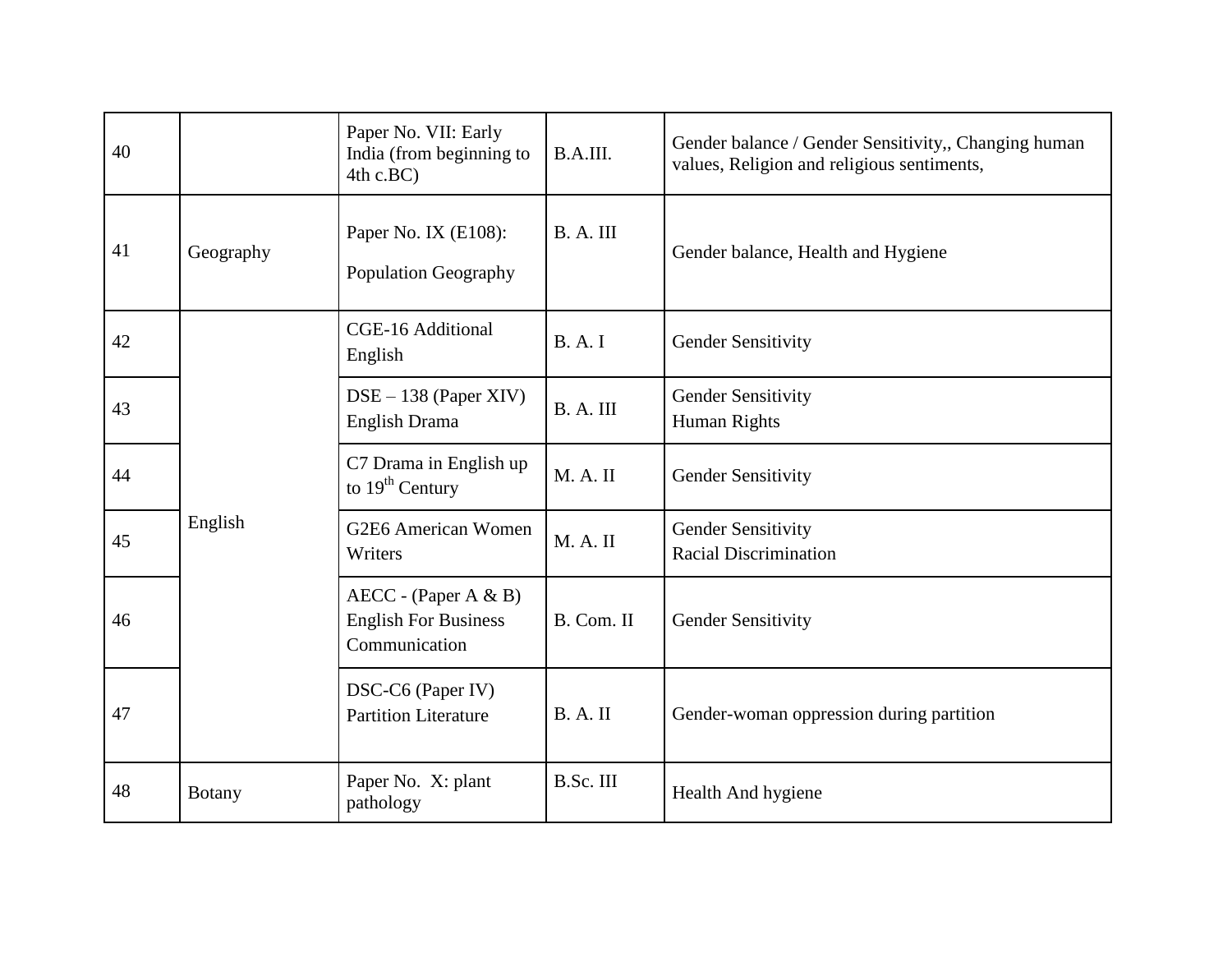| 40 |               | Paper No. VII: Early<br>India (from beginning to<br>4th c.BC)          | B.A.III.     | Gender balance / Gender Sensitivity,, Changing human<br>values, Religion and religious sentiments, |
|----|---------------|------------------------------------------------------------------------|--------------|----------------------------------------------------------------------------------------------------|
| 41 | Geography     | Paper No. IX (E108):<br><b>Population Geography</b>                    | B. A. III    | Gender balance, Health and Hygiene                                                                 |
| 42 |               | CGE-16 Additional<br>English                                           | <b>B.A.I</b> | <b>Gender Sensitivity</b>                                                                          |
| 43 |               | DSE - 138 (Paper XIV)<br>English Drama                                 | B.A.III      | <b>Gender Sensitivity</b><br>Human Rights                                                          |
| 44 |               | C7 Drama in English up<br>to $19th$ Century                            | M. A. II     | <b>Gender Sensitivity</b>                                                                          |
| 45 | English       | G2E6 American Women<br>Writers                                         | M. A. II     | <b>Gender Sensitivity</b><br><b>Racial Discrimination</b>                                          |
| 46 |               | $AECC - (Paper A & B)$<br><b>English For Business</b><br>Communication | B. Com. II   | Gender Sensitivity                                                                                 |
| 47 |               | DSC-C6 (Paper IV)<br><b>Partition Literature</b>                       | B. A. II     | Gender-woman oppression during partition                                                           |
| 48 | <b>Botany</b> | Paper No. X: plant<br>pathology                                        | B.Sc. III    | Health And hygiene                                                                                 |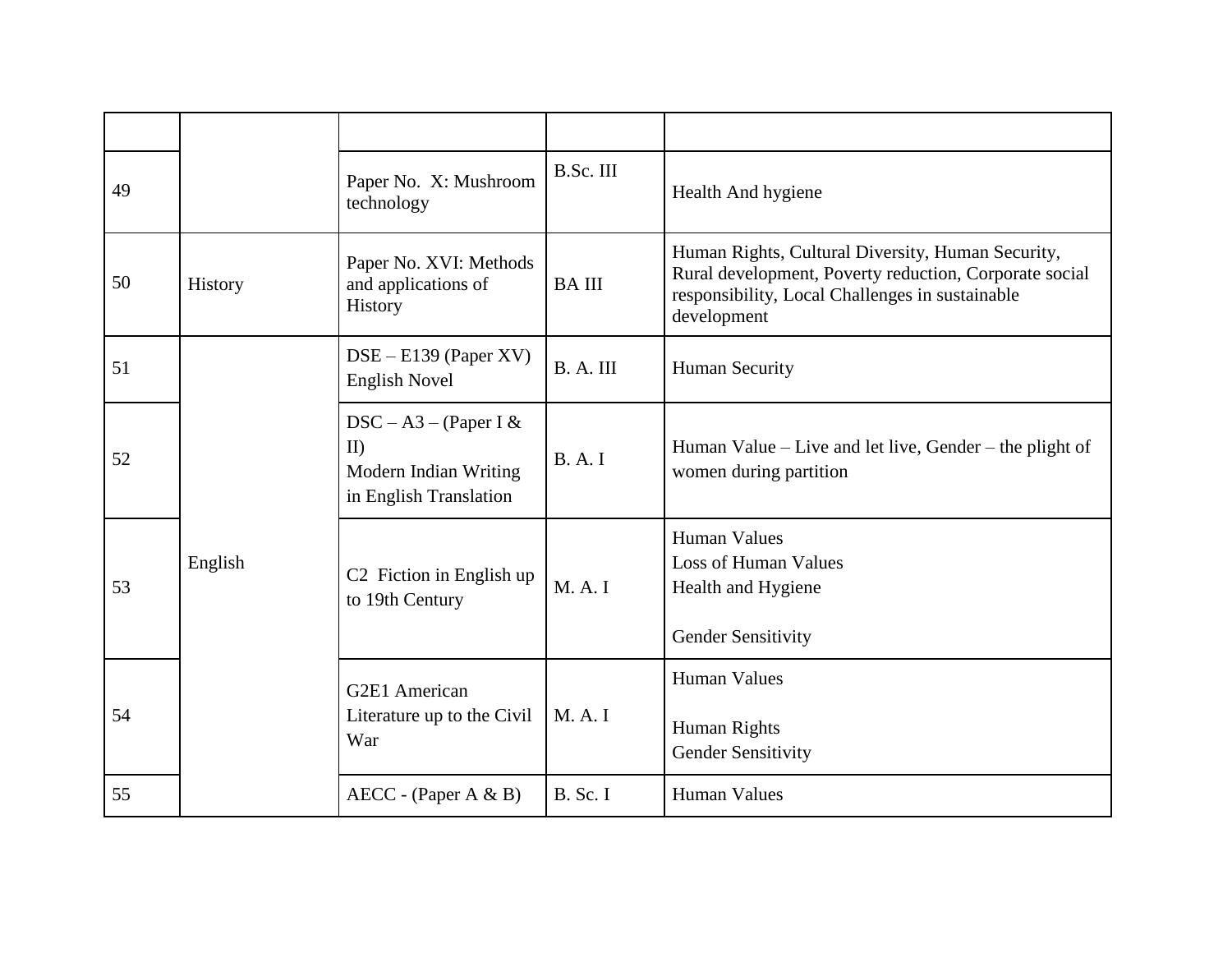| 49 |         | Paper No. X: Mushroom<br>technology                                              | B.Sc. III       | Health And hygiene                                                                                                                                                            |
|----|---------|----------------------------------------------------------------------------------|-----------------|-------------------------------------------------------------------------------------------------------------------------------------------------------------------------------|
| 50 | History | Paper No. XVI: Methods<br>and applications of<br>History                         | <b>BAIII</b>    | Human Rights, Cultural Diversity, Human Security,<br>Rural development, Poverty reduction, Corporate social<br>responsibility, Local Challenges in sustainable<br>development |
| 51 |         | $DSE - E139$ (Paper XV)<br><b>English Novel</b>                                  | B. A. III       | <b>Human Security</b>                                                                                                                                                         |
| 52 |         | $DSC - A3 - (Paper I &$<br>II<br>Modern Indian Writing<br>in English Translation | B. A. I         | Human Value – Live and let live, Gender – the plight of<br>women during partition                                                                                             |
| 53 | English | C <sub>2</sub> Fiction in English up<br>to 19th Century                          | M. A. I         | <b>Human Values</b><br><b>Loss of Human Values</b><br>Health and Hygiene<br><b>Gender Sensitivity</b>                                                                         |
| 54 |         | G2E1 American<br>Literature up to the Civil<br>War                               | M. A. I         | <b>Human Values</b><br>Human Rights<br><b>Gender Sensitivity</b>                                                                                                              |
| 55 |         | $AECC - (Paper A & B)$                                                           | <b>B.</b> Sc. I | <b>Human Values</b>                                                                                                                                                           |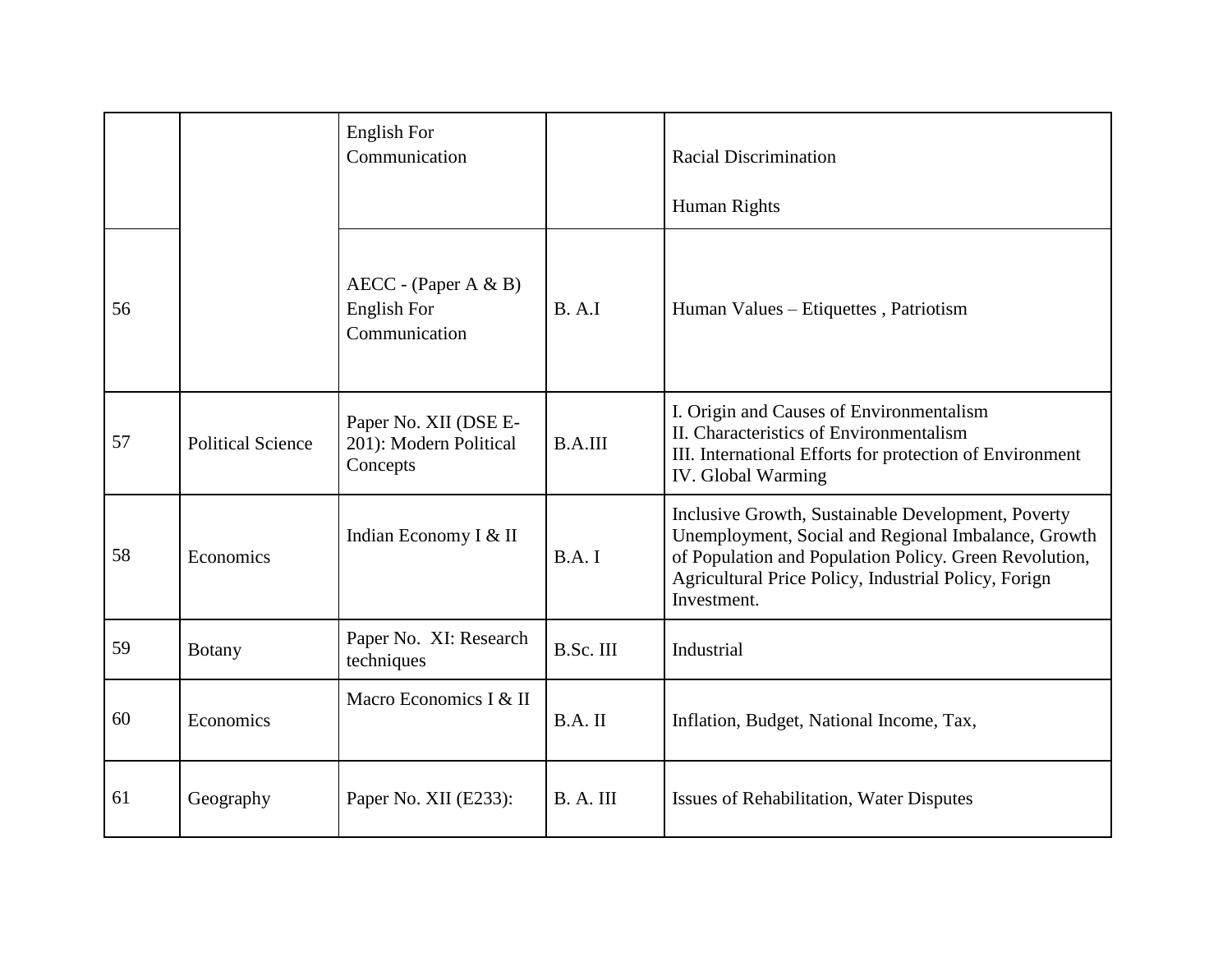|    |                          | <b>English For</b><br>Communication                           |           | <b>Racial Discrimination</b><br>Human Rights                                                                                                                                                                                               |
|----|--------------------------|---------------------------------------------------------------|-----------|--------------------------------------------------------------------------------------------------------------------------------------------------------------------------------------------------------------------------------------------|
| 56 |                          | $AECC - (Paper A & B)$<br><b>English For</b><br>Communication | B. A. I   | Human Values - Etiquettes, Patriotism                                                                                                                                                                                                      |
| 57 | <b>Political Science</b> | Paper No. XII (DSE E-<br>201): Modern Political<br>Concepts   | B.A.III   | I. Origin and Causes of Environmentalism<br>II. Characteristics of Environmentalism<br>III. International Efforts for protection of Environment<br><b>IV.</b> Global Warming                                                               |
| 58 | Economics                | Indian Economy I & II                                         | B.A. I    | Inclusive Growth, Sustainable Development, Poverty<br>Unemployment, Social and Regional Imbalance, Growth<br>of Population and Population Policy. Green Revolution,<br>Agricultural Price Policy, Industrial Policy, Forign<br>Investment. |
| 59 | <b>Botany</b>            | Paper No. XI: Research<br>techniques                          | B.Sc. III | Industrial                                                                                                                                                                                                                                 |
| 60 | Economics                | Macro Economics I & II                                        | $B.A.$ II | Inflation, Budget, National Income, Tax,                                                                                                                                                                                                   |
| 61 | Geography                | Paper No. XII (E233):                                         | B.A.III   | <b>Issues of Rehabilitation, Water Disputes</b>                                                                                                                                                                                            |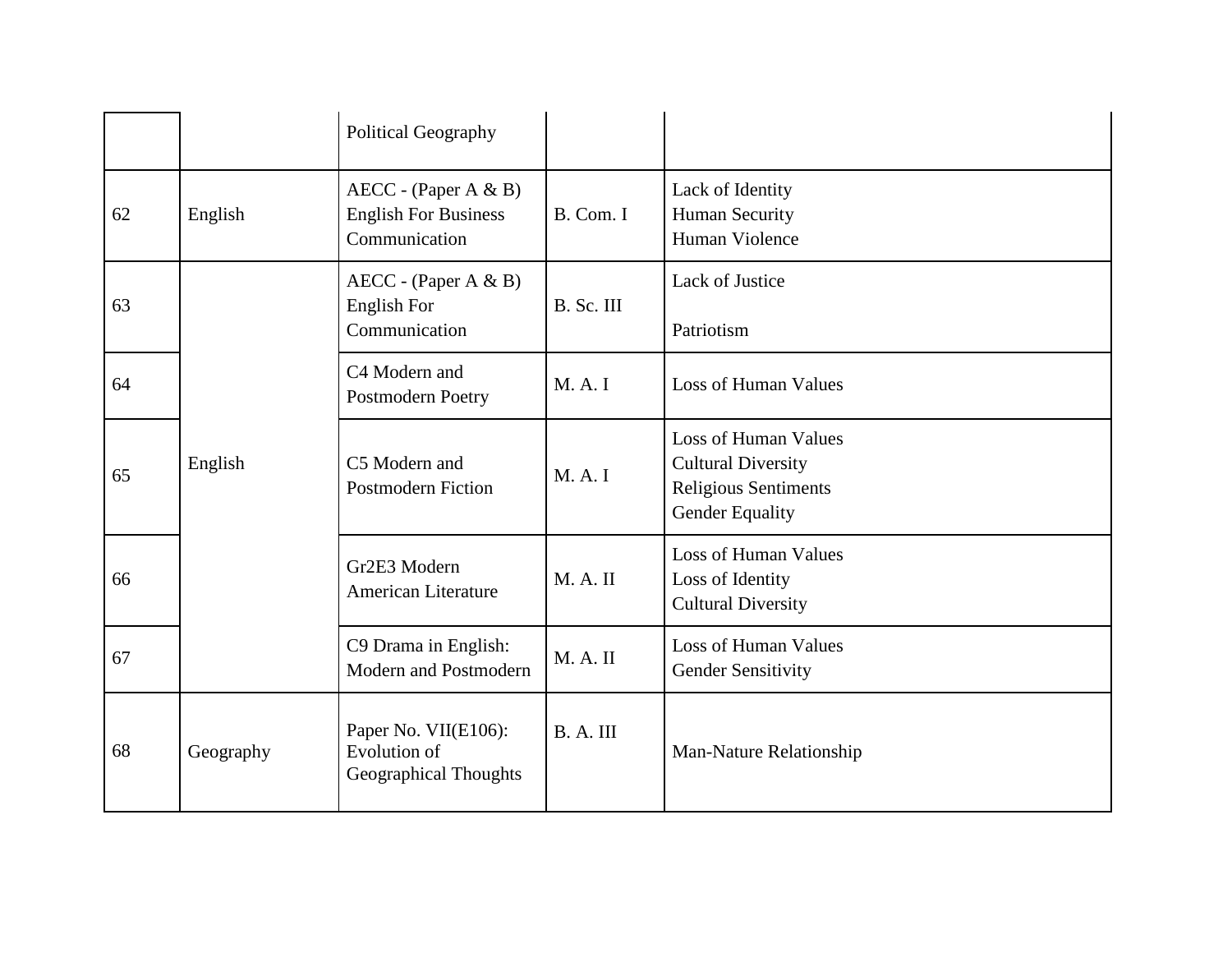|    |           | Political Geography                                                    |            |                                                                                                            |
|----|-----------|------------------------------------------------------------------------|------------|------------------------------------------------------------------------------------------------------------|
| 62 | English   | $AECC - (Paper A & B)$<br><b>English For Business</b><br>Communication | B. Com. I  | Lack of Identity<br>Human Security<br>Human Violence                                                       |
| 63 |           | $AECC - (Paper A & B)$<br>English For<br>Communication                 | B. Sc. III | Lack of Justice<br>Patriotism                                                                              |
| 64 |           | C4 Modern and<br><b>Postmodern Poetry</b>                              | M. A. I    | <b>Loss of Human Values</b>                                                                                |
| 65 | English   | C5 Modern and<br><b>Postmodern Fiction</b>                             | M. A. I    | <b>Loss of Human Values</b><br><b>Cultural Diversity</b><br><b>Religious Sentiments</b><br>Gender Equality |
| 66 |           | Gr2E3 Modern<br><b>American Literature</b>                             | M. A. II   | <b>Loss of Human Values</b><br>Loss of Identity<br><b>Cultural Diversity</b>                               |
| 67 |           | C9 Drama in English:<br><b>Modern and Postmodern</b>                   | M. A. II   | <b>Loss of Human Values</b><br><b>Gender Sensitivity</b>                                                   |
| 68 | Geography | Paper No. VII(E106):<br>Evolution of<br><b>Geographical Thoughts</b>   | B. A. III  | Man-Nature Relationship                                                                                    |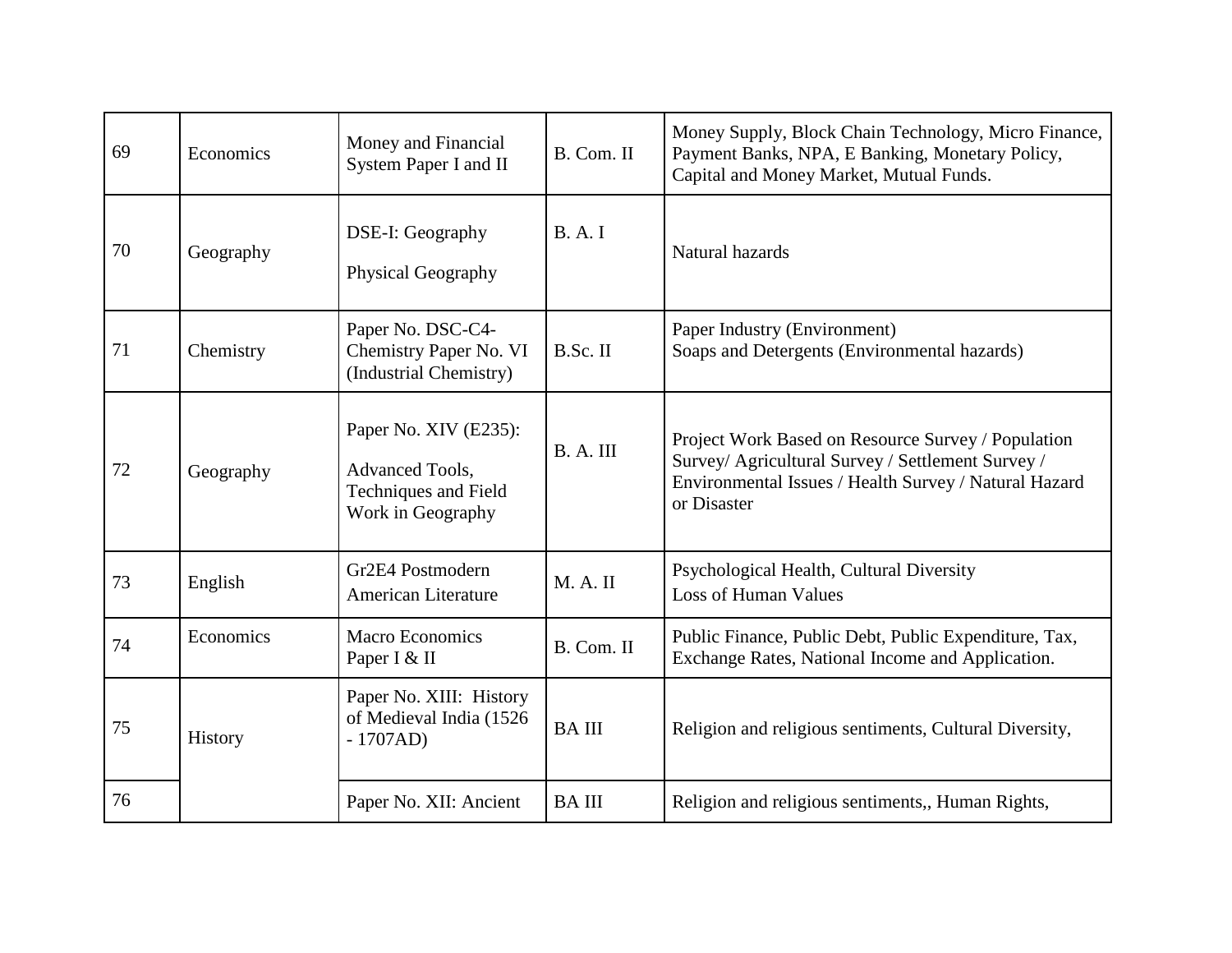| 69 | Economics | Money and Financial<br>System Paper I and II                                                 | B. Com. II   | Money Supply, Block Chain Technology, Micro Finance,<br>Payment Banks, NPA, E Banking, Monetary Policy,<br>Capital and Money Market, Mutual Funds.                              |
|----|-----------|----------------------------------------------------------------------------------------------|--------------|---------------------------------------------------------------------------------------------------------------------------------------------------------------------------------|
| 70 | Geography | DSE-I: Geography<br>Physical Geography                                                       | <b>B.A.I</b> | Natural hazards                                                                                                                                                                 |
| 71 | Chemistry | Paper No. DSC-C4-<br>Chemistry Paper No. VI<br>(Industrial Chemistry)                        | B.Sc. II     | Paper Industry (Environment)<br>Soaps and Detergents (Environmental hazards)                                                                                                    |
| 72 | Geography | Paper No. XIV (E235):<br>Advanced Tools,<br><b>Techniques and Field</b><br>Work in Geography | B. A. III    | Project Work Based on Resource Survey / Population<br>Survey/ Agricultural Survey / Settlement Survey /<br>Environmental Issues / Health Survey / Natural Hazard<br>or Disaster |
| 73 | English   | Gr2E4 Postmodern<br>American Literature                                                      | M. A. II     | Psychological Health, Cultural Diversity<br><b>Loss of Human Values</b>                                                                                                         |
| 74 | Economics | <b>Macro Economics</b><br>Paper I & II                                                       | B. Com. II   | Public Finance, Public Debt, Public Expenditure, Tax,<br>Exchange Rates, National Income and Application.                                                                       |
| 75 | History   | Paper No. XIII: History<br>of Medieval India (1526<br>$-1707AD$                              | <b>BAIII</b> | Religion and religious sentiments, Cultural Diversity,                                                                                                                          |
| 76 |           | Paper No. XII: Ancient                                                                       | <b>BAIII</b> | Religion and religious sentiments,, Human Rights,                                                                                                                               |